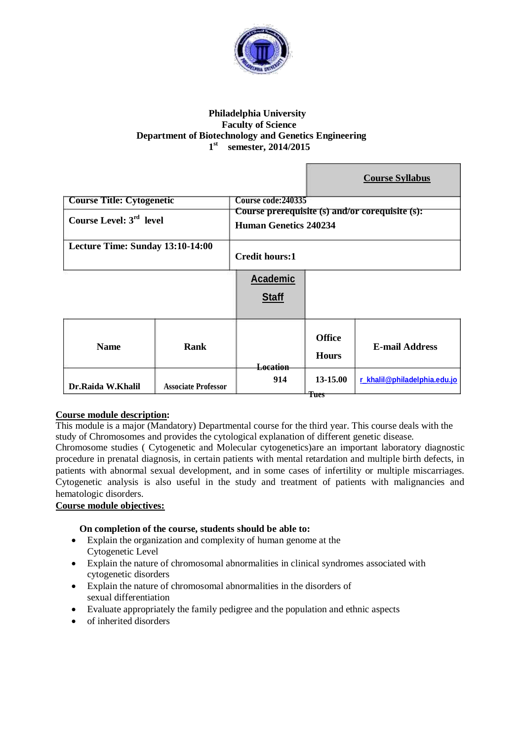

# **Philadelphia University Faculty of Science Department of Biotechnology and Genetics Engineering 1 st semester, 2014/2015**

m

|                                     |                            |                                                                                 |                               | <b>Course Syllabus</b>       |
|-------------------------------------|----------------------------|---------------------------------------------------------------------------------|-------------------------------|------------------------------|
| <b>Course Title: Cytogenetic</b>    |                            | Course code: 240335                                                             |                               |                              |
| Course Level: 3 <sup>rd</sup> level |                            | Course prerequisite (s) and/or corequisite (s):<br><b>Human Genetics 240234</b> |                               |                              |
| Lecture Time: Sunday 13:10-14:00    |                            | <b>Credit hours:1</b>                                                           |                               |                              |
|                                     |                            | <b>Academic</b>                                                                 |                               |                              |
|                                     |                            | <b>Staff</b>                                                                    |                               |                              |
| <b>Name</b>                         | <b>Rank</b>                | Location                                                                        | <b>Office</b><br><b>Hours</b> | <b>E-mail Address</b>        |
| Dr.Raida W.Khalil                   | <b>Associate Professor</b> | 914                                                                             | 13-15.00<br>Tues              | r_khalil@philadelphia.edu.jo |

# **Course module description:**

This module is a major (Mandatory) Departmental course for the third year. This course deals with the study of Chromosomes and provides the cytological explanation of different genetic disease.

Chromosome studies ( Cytogenetic and Molecular cytogenetics)are an important laboratory diagnostic procedure in prenatal diagnosis, in certain patients with mental retardation and multiple birth defects, in patients with abnormal sexual development, and in some cases of infertility or multiple miscarriages. Cytogenetic analysis is also useful in the study and treatment of patients with malignancies and hematologic disorders.

# **Course module objectives:**

# **On completion of the course, students should be able to:**

- Explain the organization and complexity of human genome at the Cytogenetic Level
- Explain the nature of chromosomal abnormalities in clinical syndromes associated with cytogenetic disorders
- Explain the nature of chromosomal abnormalities in the disorders of sexual differentiation
- Evaluate appropriately the family pedigree and the population and ethnic aspects
- of inherited disorders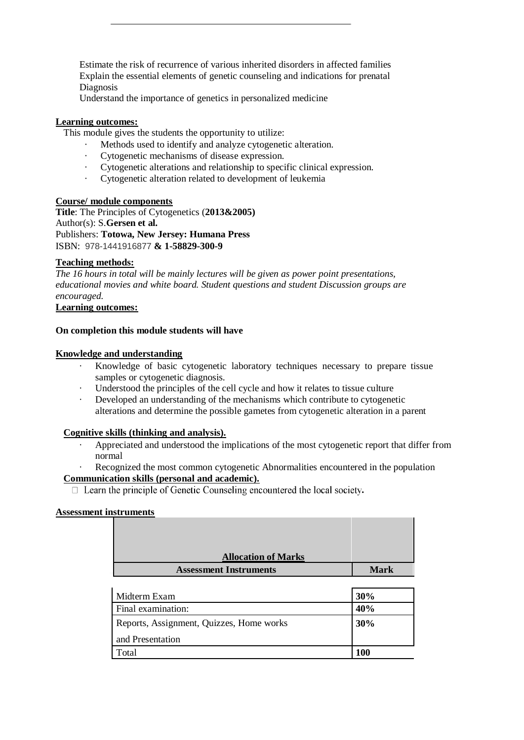Estimate the risk of recurrence of various inherited disorders in affected families Explain the essential elements of genetic counseling and indications for prenatal Diagnosis

Understand the importance of genetics in personalized medicine

## **Learning outcomes:**

This module gives the students the opportunity to utilize:

- · Methods used to identify and analyze cytogenetic alteration.
- · Cytogenetic mechanisms of disease expression.
- Cytogenetic alterations and relationship to specific clinical expression.
- · Cytogenetic alteration related to development of leukemia

#### **Course/ module components**

**Title**: The Principles of Cytogenetics (**2013&2005)** Author(s): S.**Gersen et al.** Publishers: **Totowa, New Jersey: Humana Press** ISBN: 978-1441916877 **& 1-58829-300-9**

## **Teaching methods:**

*The 16 hours in total will be mainly lectures will be given as power point presentations, educational movies and white board. Student questions and student Discussion groups are encouraged.*

# **Learning outcomes:**

## **On completion this module students will have**

#### **Knowledge and understanding**

- Knowledge of basic cytogenetic laboratory techniques necessary to prepare tissue samples or cytogenetic diagnosis.
- Understood the principles of the cell cycle and how it relates to tissue culture
- Developed an understanding of the mechanisms which contribute to cytogenetic alterations and determine the possible gametes from cytogenetic alteration in a parent

#### **Cognitive skills (thinking and analysis).**

- Appreciated and understood the implications of the most cytogenetic report that differ from normal
- Recognized the most common cytogenetic Abnormalities encountered in the population

#### **Communication skills (personal and academic).**

□ Learn the principle of Genetic Counseling encountered the local society.

#### **Assessment instruments**

| <b>Allocation of Marks</b>    |             |
|-------------------------------|-------------|
| <b>Assessment Instruments</b> | <b>Mark</b> |

| Midterm Exam                             | 30% |
|------------------------------------------|-----|
| Final examination:                       | 40% |
| Reports, Assignment, Quizzes, Home works | 30% |
| and Presentation                         |     |
| Total                                    | 100 |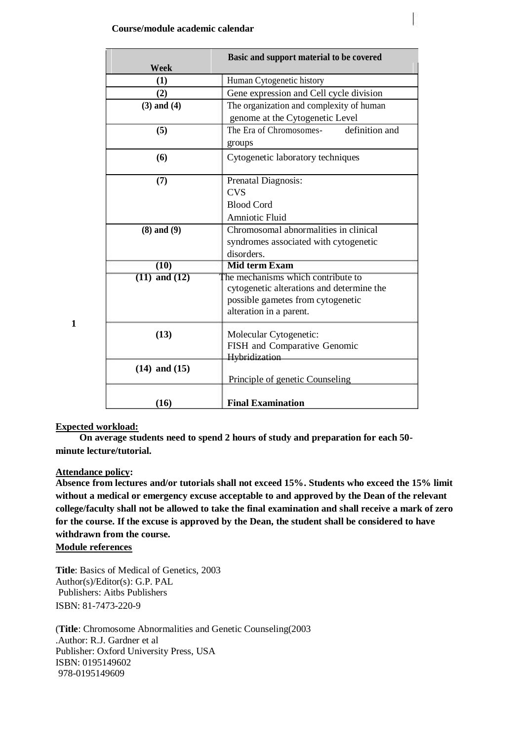|                   | Basic and support material to be covered  |  |
|-------------------|-------------------------------------------|--|
| Week              |                                           |  |
| (1)               | Human Cytogenetic history                 |  |
| (2)               | Gene expression and Cell cycle division   |  |
| $(3)$ and $(4)$   | The organization and complexity of human  |  |
|                   | genome at the Cytogenetic Level           |  |
| (5)               | definition and<br>The Era of Chromosomes- |  |
|                   | groups                                    |  |
| (6)               | Cytogenetic laboratory techniques         |  |
|                   |                                           |  |
| (7)               | Prenatal Diagnosis:                       |  |
|                   | <b>CVS</b>                                |  |
|                   | <b>Blood Cord</b>                         |  |
|                   | Amniotic Fluid                            |  |
| $(8)$ and $(9)$   | Chromosomal abnormalities in clinical     |  |
|                   | syndromes associated with cytogenetic     |  |
|                   | disorders.                                |  |
| $\overline{(10)}$ | <b>Mid term Exam</b>                      |  |
| $(11)$ and $(12)$ | The mechanisms which contribute to        |  |
|                   | cytogenetic alterations and determine the |  |
|                   | possible gametes from cytogenetic         |  |
|                   | alteration in a parent.                   |  |
|                   |                                           |  |
| (13)              | Molecular Cytogenetic:                    |  |
|                   | FISH and Comparative Genomic              |  |
|                   | Hybridization                             |  |
| $(14)$ and $(15)$ | Principle of genetic Counseling           |  |
|                   |                                           |  |
| (16)              | <b>Final Examination</b>                  |  |

**1**

## **Expected workload:**

**On average students need to spend 2 hours of study and preparation for each 50 minute lecture/tutorial.**

#### **Attendance policy:**

**Absence from lectures and/or tutorials shall not exceed 15%. Students who exceed the 15% limit without a medical or emergency excuse acceptable to and approved by the Dean of the relevant college/faculty shall not be allowed to take the final examination and shall receive a mark of zero for the course. If the excuse is approved by the Dean, the student shall be considered to have withdrawn from the course.**

## **Module references**

**Title**: Basics of Medical of Genetics, 2003 Author(s)/Editor(s): G.P. PAL Publishers: Aitbs Publishers ISBN: 81-7473-220-9

(**Title**: Chromosome Abnormalities and Genetic Counseling(2003 .Author: R.J. Gardner et al Publisher: Oxford University Press, USA ISBN: 0195149602 978-0195149609